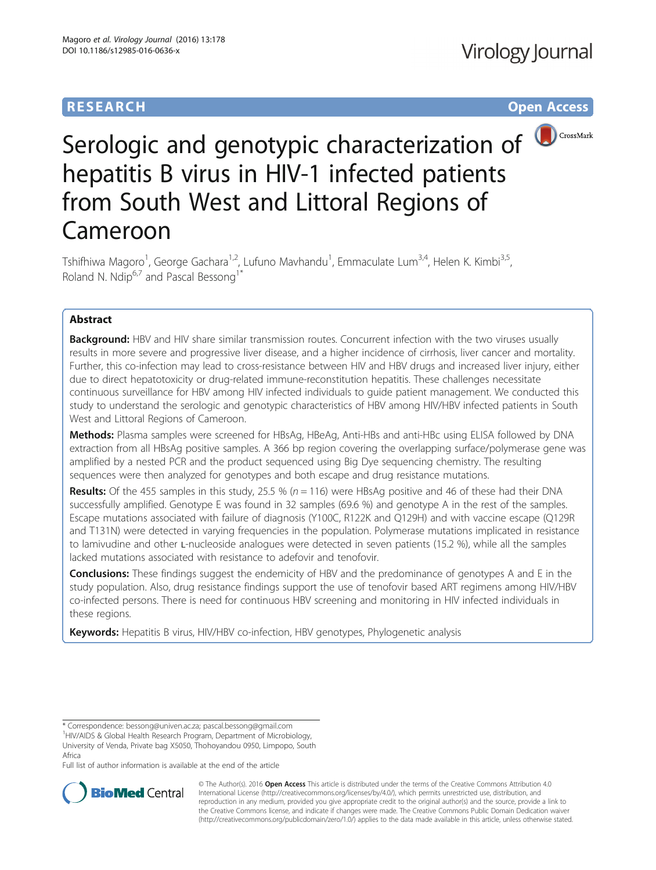## **RESEARCH CHE Open Access**



# Serologic and genotypic characterization of **OCCOSSMark** hepatitis B virus in HIV-1 infected patients from South West and Littoral Regions of Cameroon

Tshifhiwa Magoro<sup>1</sup>, George Gachara<sup>1,2</sup>, Lufuno Mavhandu<sup>1</sup>, Emmaculate Lum<sup>3,4</sup>, Helen K. Kimbi<sup>3,5</sup>, Roland N. Ndip<sup>6,7</sup> and Pascal Bessong<sup>1\*</sup>

### Abstract

Background: HBV and HIV share similar transmission routes. Concurrent infection with the two viruses usually results in more severe and progressive liver disease, and a higher incidence of cirrhosis, liver cancer and mortality. Further, this co-infection may lead to cross-resistance between HIV and HBV drugs and increased liver injury, either due to direct hepatotoxicity or drug-related immune-reconstitution hepatitis. These challenges necessitate continuous surveillance for HBV among HIV infected individuals to guide patient management. We conducted this study to understand the serologic and genotypic characteristics of HBV among HIV/HBV infected patients in South West and Littoral Regions of Cameroon.

Methods: Plasma samples were screened for HBsAg, HBeAg, Anti-HBs and anti-HBc using ELISA followed by DNA extraction from all HBsAg positive samples. A 366 bp region covering the overlapping surface/polymerase gene was amplified by a nested PCR and the product sequenced using Big Dye sequencing chemistry. The resulting sequences were then analyzed for genotypes and both escape and drug resistance mutations.

**Results:** Of the 455 samples in this study, 25.5 % ( $n = 116$ ) were HBsAg positive and 46 of these had their DNA successfully amplified. Genotype E was found in 32 samples (69.6 %) and genotype A in the rest of the samples. Escape mutations associated with failure of diagnosis (Y100C, R122K and Q129H) and with vaccine escape (Q129R and T131N) were detected in varying frequencies in the population. Polymerase mutations implicated in resistance to lamivudine and other L-nucleoside analogues were detected in seven patients (15.2 %), while all the samples lacked mutations associated with resistance to adefovir and tenofovir.

**Conclusions:** These findings suggest the endemicity of HBV and the predominance of genotypes A and E in the study population. Also, drug resistance findings support the use of tenofovir based ART regimens among HIV/HBV co-infected persons. There is need for continuous HBV screening and monitoring in HIV infected individuals in these regions.

Keywords: Hepatitis B virus, HIV/HBV co-infection, HBV genotypes, Phylogenetic analysis

Full list of author information is available at the end of the article



© The Author(s). 2016 Open Access This article is distributed under the terms of the Creative Commons Attribution 4.0 International License [\(http://creativecommons.org/licenses/by/4.0/](http://creativecommons.org/licenses/by/4.0/)), which permits unrestricted use, distribution, and reproduction in any medium, provided you give appropriate credit to the original author(s) and the source, provide a link to the Creative Commons license, and indicate if changes were made. The Creative Commons Public Domain Dedication waiver [\(http://creativecommons.org/publicdomain/zero/1.0/](http://creativecommons.org/publicdomain/zero/1.0/)) applies to the data made available in this article, unless otherwise stated.

<sup>\*</sup> Correspondence: [bessong@univen.ac.za;](mailto:bessong@univen.ac.za) [pascal.bessong@gmail.com](mailto:pascal.bessong@gmail.com) <sup>1</sup>

<sup>&</sup>lt;sup>1</sup>HIV/AIDS & Global Health Research Program, Department of Microbiology,

University of Venda, Private bag X5050, Thohoyandou 0950, Limpopo, South Africa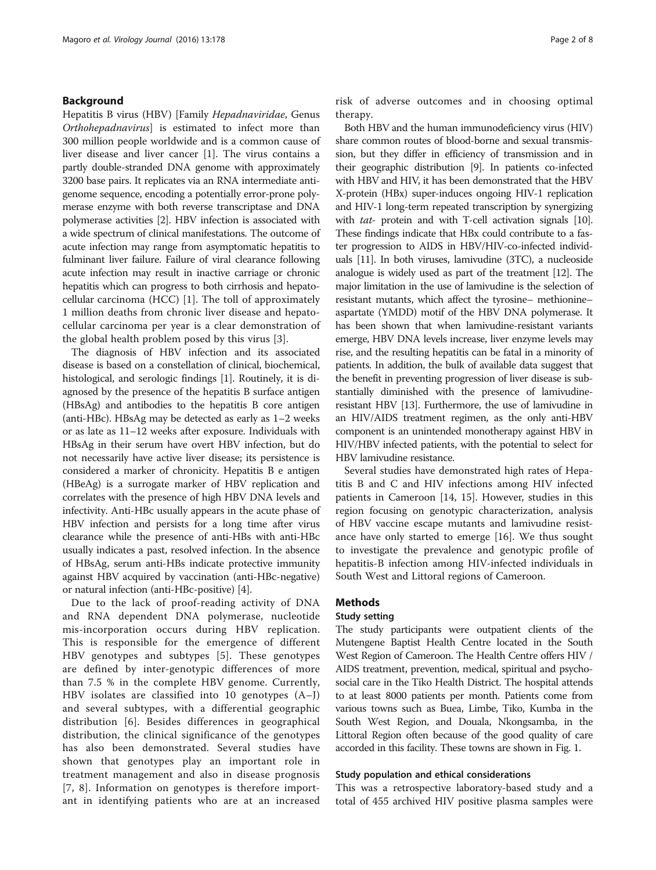#### Background

Hepatitis B virus (HBV) [Family Hepadnaviridae, Genus Orthohepadnavirus] is estimated to infect more than 300 million people worldwide and is a common cause of liver disease and liver cancer [[1\]](#page-7-0). The virus contains a partly double-stranded DNA genome with approximately 3200 base pairs. It replicates via an RNA intermediate antigenome sequence, encoding a potentially error-prone polymerase enzyme with both reverse transcriptase and DNA polymerase activities [\[2](#page-7-0)]. HBV infection is associated with a wide spectrum of clinical manifestations. The outcome of acute infection may range from asymptomatic hepatitis to fulminant liver failure. Failure of viral clearance following acute infection may result in inactive carriage or chronic hepatitis which can progress to both cirrhosis and hepatocellular carcinoma (HCC) [\[1](#page-7-0)]. The toll of approximately 1 million deaths from chronic liver disease and hepatocellular carcinoma per year is a clear demonstration of the global health problem posed by this virus [[3\]](#page-7-0).

The diagnosis of HBV infection and its associated disease is based on a constellation of clinical, biochemical, histological, and serologic findings [\[1](#page-7-0)]. Routinely, it is diagnosed by the presence of the hepatitis B surface antigen (HBsAg) and antibodies to the hepatitis B core antigen (anti-HBc). HBsAg may be detected as early as 1–2 weeks or as late as 11–12 weeks after exposure. Individuals with HBsAg in their serum have overt HBV infection, but do not necessarily have active liver disease; its persistence is considered a marker of chronicity. Hepatitis B e antigen (HBeAg) is a surrogate marker of HBV replication and correlates with the presence of high HBV DNA levels and infectivity. Anti-HBc usually appears in the acute phase of HBV infection and persists for a long time after virus clearance while the presence of anti-HBs with anti-HBc usually indicates a past, resolved infection. In the absence of HBsAg, serum anti-HBs indicate protective immunity against HBV acquired by vaccination (anti-HBc-negative) or natural infection (anti-HBc-positive) [[4\]](#page-7-0).

Due to the lack of proof-reading activity of DNA and RNA dependent DNA polymerase, nucleotide mis-incorporation occurs during HBV replication. This is responsible for the emergence of different HBV genotypes and subtypes [[5\]](#page-7-0). These genotypes are defined by inter-genotypic differences of more than 7.5 % in the complete HBV genome. Currently, HBV isolates are classified into 10 genotypes (A–J) and several subtypes, with a differential geographic distribution [[6](#page-7-0)]. Besides differences in geographical distribution, the clinical significance of the genotypes has also been demonstrated. Several studies have shown that genotypes play an important role in treatment management and also in disease prognosis [[7](#page-7-0), [8\]](#page-7-0). Information on genotypes is therefore important in identifying patients who are at an increased risk of adverse outcomes and in choosing optimal therapy.

Both HBV and the human immunodeficiency virus (HIV) share common routes of blood-borne and sexual transmission, but they differ in efficiency of transmission and in their geographic distribution [\[9\]](#page-7-0). In patients co-infected with HBV and HIV, it has been demonstrated that the HBV X-protein (HBx) super-induces ongoing HIV-1 replication and HIV-1 long-term repeated transcription by synergizing with tat- protein and with T-cell activation signals [\[10](#page-7-0)]. These findings indicate that HBx could contribute to a faster progression to AIDS in HBV/HIV-co-infected individuals [\[11](#page-7-0)]. In both viruses, lamivudine (3TC), a nucleoside analogue is widely used as part of the treatment [\[12](#page-7-0)]. The major limitation in the use of lamivudine is the selection of resistant mutants, which affect the tyrosine– methionine– aspartate (YMDD) motif of the HBV DNA polymerase. It has been shown that when lamivudine-resistant variants emerge, HBV DNA levels increase, liver enzyme levels may rise, and the resulting hepatitis can be fatal in a minority of patients. In addition, the bulk of available data suggest that the benefit in preventing progression of liver disease is substantially diminished with the presence of lamivudineresistant HBV [\[13](#page-7-0)]. Furthermore, the use of lamivudine in an HIV/AIDS treatment regimen, as the only anti-HBV component is an unintended monotherapy against HBV in HIV/HBV infected patients, with the potential to select for HBV lamivudine resistance.

Several studies have demonstrated high rates of Hepatitis B and C and HIV infections among HIV infected patients in Cameroon [[14, 15](#page-7-0)]. However, studies in this region focusing on genotypic characterization, analysis of HBV vaccine escape mutants and lamivudine resistance have only started to emerge [\[16](#page-7-0)]. We thus sought to investigate the prevalence and genotypic profile of hepatitis-B infection among HIV-infected individuals in South West and Littoral regions of Cameroon.

#### Methods

#### Study setting

The study participants were outpatient clients of the Mutengene Baptist Health Centre located in the South West Region of Cameroon. The Health Centre offers HIV / AIDS treatment, prevention, medical, spiritual and psychosocial care in the Tiko Health District. The hospital attends to at least 8000 patients per month. Patients come from various towns such as Buea, Limbe, Tiko, Kumba in the South West Region, and Douala, Nkongsamba, in the Littoral Region often because of the good quality of care accorded in this facility. These towns are shown in Fig. [1.](#page-2-0)

#### Study population and ethical considerations

This was a retrospective laboratory-based study and a total of 455 archived HIV positive plasma samples were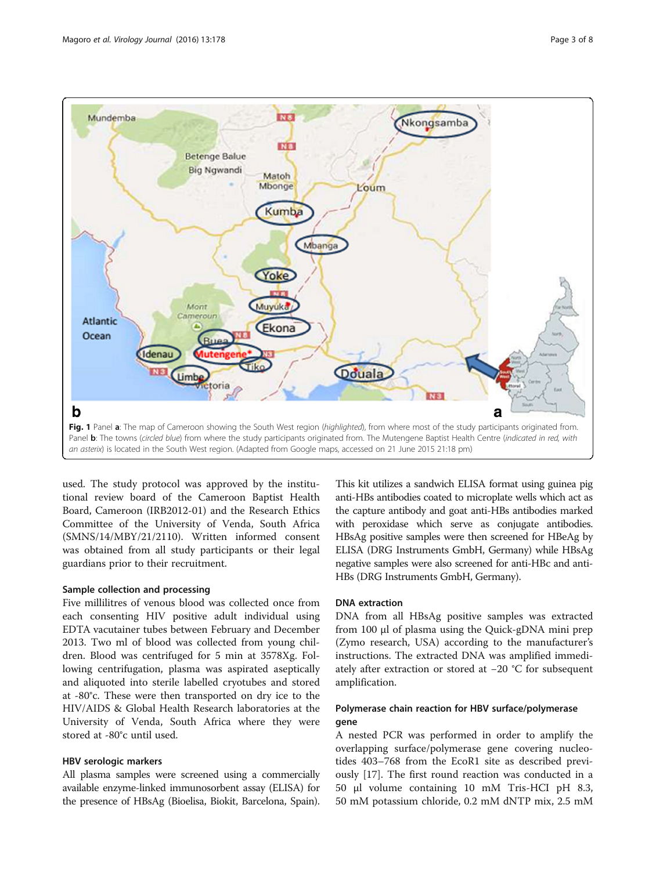<span id="page-2-0"></span>

used. The study protocol was approved by the institutional review board of the Cameroon Baptist Health Board, Cameroon (IRB2012-01) and the Research Ethics Committee of the University of Venda, South Africa (SMNS/14/MBY/21/2110). Written informed consent was obtained from all study participants or their legal guardians prior to their recruitment.

#### Sample collection and processing

Five millilitres of venous blood was collected once from each consenting HIV positive adult individual using EDTA vacutainer tubes between February and December 2013. Two ml of blood was collected from young children. Blood was centrifuged for 5 min at 3578Xg. Following centrifugation, plasma was aspirated aseptically and aliquoted into sterile labelled cryotubes and stored at -80°c. These were then transported on dry ice to the HIV/AIDS & Global Health Research laboratories at the University of Venda, South Africa where they were stored at -80°c until used.

#### HBV serologic markers

All plasma samples were screened using a commercially available enzyme-linked immunosorbent assay (ELISA) for the presence of HBsAg (Bioelisa, Biokit, Barcelona, Spain).

This kit utilizes a sandwich ELISA format using guinea pig anti-HBs antibodies coated to microplate wells which act as the capture antibody and goat anti-HBs antibodies marked with peroxidase which serve as conjugate antibodies. HBsAg positive samples were then screened for HBeAg by ELISA (DRG Instruments GmbH, Germany) while HBsAg negative samples were also screened for anti-HBc and anti-HBs (DRG Instruments GmbH, Germany).

#### DNA extraction

DNA from all HBsAg positive samples was extracted from 100 μl of plasma using the Quick-gDNA mini prep (Zymo research, USA) according to the manufacturer's instructions. The extracted DNA was amplified immediately after extraction or stored at −20 °C for subsequent amplification.

#### Polymerase chain reaction for HBV surface/polymerase gene

A nested PCR was performed in order to amplify the overlapping surface/polymerase gene covering nucleotides 403–768 from the EcoR1 site as described previously [[17\]](#page-7-0). The first round reaction was conducted in a 50 μl volume containing 10 mM Tris-HCI pH 8.3, 50 mM potassium chloride, 0.2 mM dNTP mix, 2.5 mM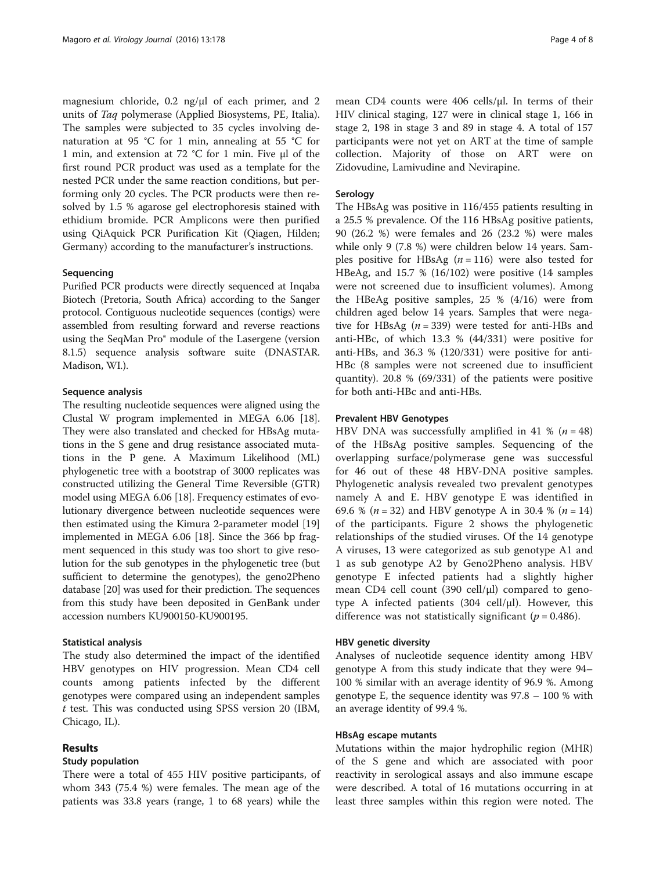magnesium chloride, 0.2 ng/μl of each primer, and 2 units of Taq polymerase (Applied Biosystems, PE, Italia). The samples were subjected to 35 cycles involving denaturation at 95 °C for 1 min, annealing at 55 °C for 1 min, and extension at 72 °C for 1 min. Five μl of the first round PCR product was used as a template for the nested PCR under the same reaction conditions, but performing only 20 cycles. The PCR products were then resolved by 1.5 % agarose gel electrophoresis stained with ethidium bromide. PCR Amplicons were then purified using QiAquick PCR Purification Kit (Qiagen, Hilden; Germany) according to the manufacturer's instructions.

#### Sequencing

Purified PCR products were directly sequenced at Inqaba Biotech (Pretoria, South Africa) according to the Sanger protocol. Contiguous nucleotide sequences (contigs) were assembled from resulting forward and reverse reactions using the SeqMan Pro® module of the Lasergene (version 8.1.5) sequence analysis software suite (DNASTAR. Madison, WI.).

#### Sequence analysis

The resulting nucleotide sequences were aligned using the Clustal W program implemented in MEGA 6.06 [[18](#page-7-0)]. They were also translated and checked for HBsAg mutations in the S gene and drug resistance associated mutations in the P gene. A Maximum Likelihood (ML) phylogenetic tree with a bootstrap of 3000 replicates was constructed utilizing the General Time Reversible (GTR) model using MEGA 6.06 [[18](#page-7-0)]. Frequency estimates of evolutionary divergence between nucleotide sequences were then estimated using the Kimura 2-parameter model [[19](#page-7-0)] implemented in MEGA 6.06 [\[18\]](#page-7-0). Since the 366 bp fragment sequenced in this study was too short to give resolution for the sub genotypes in the phylogenetic tree (but sufficient to determine the genotypes), the geno2Pheno database [[20](#page-7-0)] was used for their prediction. The sequences from this study have been deposited in GenBank under accession numbers KU900150-KU900195.

#### Statistical analysis

The study also determined the impact of the identified HBV genotypes on HIV progression. Mean CD4 cell counts among patients infected by the different genotypes were compared using an independent samples t test. This was conducted using SPSS version 20 (IBM, Chicago, IL).

#### Results

#### Study population

There were a total of 455 HIV positive participants, of whom 343 (75.4 %) were females. The mean age of the patients was 33.8 years (range, 1 to 68 years) while the

mean CD4 counts were 406 cells/μl. In terms of their HIV clinical staging, 127 were in clinical stage 1, 166 in stage 2, 198 in stage 3 and 89 in stage 4. A total of 157 participants were not yet on ART at the time of sample collection. Majority of those on ART were on Zidovudine, Lamivudine and Nevirapine.

#### **Serology**

The HBsAg was positive in 116/455 patients resulting in a 25.5 % prevalence. Of the 116 HBsAg positive patients, 90 (26.2 %) were females and 26 (23.2 %) were males while only 9 (7.8 %) were children below 14 years. Samples positive for HBsAg  $(n = 116)$  were also tested for HBeAg, and 15.7 % (16/102) were positive (14 samples were not screened due to insufficient volumes). Among the HBeAg positive samples, 25 % (4/16) were from children aged below 14 years. Samples that were negative for HBsAg  $(n = 339)$  were tested for anti-HBs and anti-HBc, of which 13.3 % (44/331) were positive for anti-HBs, and 36.3 % (120/331) were positive for anti-HBc (8 samples were not screened due to insufficient quantity). 20.8 % (69/331) of the patients were positive for both anti-HBc and anti-HBs.

#### Prevalent HBV Genotypes

HBV DNA was successfully amplified in 41 %  $(n = 48)$ of the HBsAg positive samples. Sequencing of the overlapping surface/polymerase gene was successful for 46 out of these 48 HBV-DNA positive samples. Phylogenetic analysis revealed two prevalent genotypes namely A and E. HBV genotype E was identified in 69.6 % ( $n = 32$ ) and HBV genotype A in 30.4 % ( $n = 14$ ) of the participants. Figure [2](#page-4-0) shows the phylogenetic relationships of the studied viruses. Of the 14 genotype A viruses, 13 were categorized as sub genotype A1 and 1 as sub genotype A2 by Geno2Pheno analysis. HBV genotype E infected patients had a slightly higher mean CD4 cell count (390 cell/μl) compared to genotype A infected patients (304 cell/μl). However, this difference was not statistically significant ( $p = 0.486$ ).

#### HBV genetic diversity

Analyses of nucleotide sequence identity among HBV genotype A from this study indicate that they were 94– 100 % similar with an average identity of 96.9 %. Among genotype E, the sequence identity was 97.8 – 100 % with an average identity of 99.4 %.

#### HBsAg escape mutants

Mutations within the major hydrophilic region (MHR) of the S gene and which are associated with poor reactivity in serological assays and also immune escape were described. A total of 16 mutations occurring in at least three samples within this region were noted. The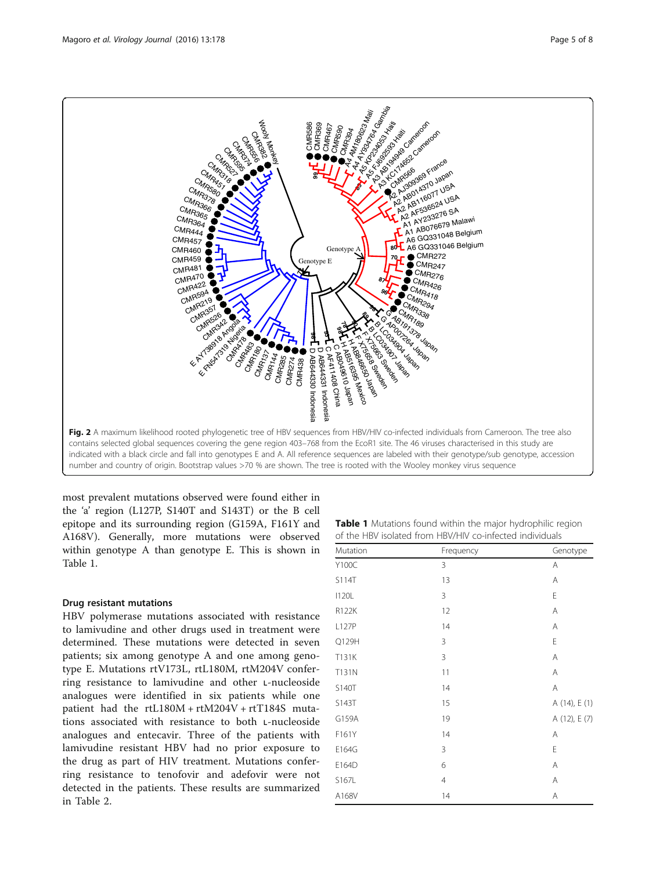<span id="page-4-0"></span>

indicated with a black circle and fall into genotypes E and A. All reference sequences are labeled with their genotype/sub genotype, accession number and country of origin. Bootstrap values >70 % are shown. The tree is rooted with the Wooley monkey virus sequence

most prevalent mutations observed were found either in the 'a' region (L127P, S140T and S143T) or the B cell epitope and its surrounding region (G159A, F161Y and A168V). Generally, more mutations were observed within genotype A than genotype E. This is shown in Table 1.

#### Drug resistant mutations

HBV polymerase mutations associated with resistance to lamivudine and other drugs used in treatment were determined. These mutations were detected in seven patients; six among genotype A and one among genotype E. Mutations rtV173L, rtL180M, rtM204V conferring resistance to lamivudine and other L-nucleoside analogues were identified in six patients while one patient had the rtL180M + rtM204V + rtT184S mutations associated with resistance to both ʟ-nucleoside analogues and entecavir. Three of the patients with lamivudine resistant HBV had no prior exposure to the drug as part of HIV treatment. Mutations conferring resistance to tenofovir and adefovir were not detected in the patients. These results are summarized in Table [2](#page-5-0).

| <b>Table 1</b> Mutations found within the major hydrophilic region |  |  |  |  |
|--------------------------------------------------------------------|--|--|--|--|
| of the HBV isolated from HBV/HIV co-infected individuals           |  |  |  |  |

| Mutation     | Frequency      | Genotype      |  |
|--------------|----------------|---------------|--|
| Y100C        | 3              | Α             |  |
| S114T        | 13             | Α             |  |
| <b>I120L</b> | 3              | E             |  |
| R122K        | 12             | Α             |  |
| L127P        | 14             | Α             |  |
| Q129H        | 3              | E             |  |
| T131K        | 3              | Α             |  |
| T131N        | 11             | Α             |  |
| S140T        | 14             | Α             |  |
| S143T        | 15             | A (14), E (1) |  |
| G159A        | 19             | A (12), E (7) |  |
| F161Y        | 14             | Α             |  |
| E164G        | 3              | E             |  |
| E164D        | 6              | Α             |  |
| S167L        | $\overline{4}$ | A             |  |
| A168V        | 14             | Α             |  |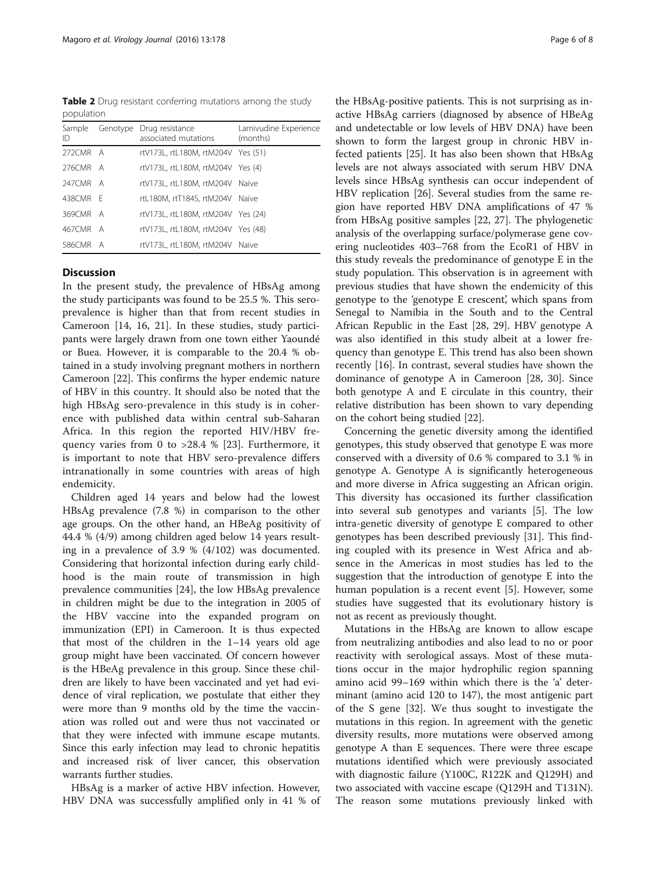<span id="page-5-0"></span>Table 2 Drug resistant conferring mutations among the study population

| Sample<br>ID |   | Genotype Drug resistance<br>associated mutations | Lamivudine Experience<br>(months) |
|--------------|---|--------------------------------------------------|-----------------------------------|
| $272CMR$ A   |   | rtV173L, rtL180M, rtM204V Yes (51)               |                                   |
| 276CMR A     |   | rtV173L, rtL180M, rtM204V Yes (4)                |                                   |
| 247CMR A     |   | rtV173L, rtL180M, rtM204V Naive                  |                                   |
| 438CMR F     |   | rtL180M, rtT184S, rtM204V Naive                  |                                   |
| 369CMR A     |   | rtV173L, rtL180M, rtM204V Yes (24)               |                                   |
| 467CMR A     |   | rtV173L, rtL180M, rtM204V Yes (48)               |                                   |
| 586CMR       | A | rtV173L, rtL180M, rtM204V Naive                  |                                   |

#### **Discussion**

In the present study, the prevalence of HBsAg among the study participants was found to be 25.5 %. This seroprevalence is higher than that from recent studies in Cameroon [\[14](#page-7-0), [16, 21](#page-7-0)]. In these studies, study participants were largely drawn from one town either Yaoundé or Buea. However, it is comparable to the 20.4 % obtained in a study involving pregnant mothers in northern Cameroon [[22\]](#page-7-0). This confirms the hyper endemic nature of HBV in this country. It should also be noted that the high HBsAg sero-prevalence in this study is in coherence with published data within central sub-Saharan Africa. In this region the reported HIV/HBV frequency varies from 0 to >28.4 % [[23\]](#page-7-0). Furthermore, it is important to note that HBV sero-prevalence differs intranationally in some countries with areas of high endemicity.

Children aged 14 years and below had the lowest HBsAg prevalence (7.8 %) in comparison to the other age groups. On the other hand, an HBeAg positivity of 44.4 % (4/9) among children aged below 14 years resulting in a prevalence of 3.9 % (4/102) was documented. Considering that horizontal infection during early childhood is the main route of transmission in high prevalence communities [[24\]](#page-7-0), the low HBsAg prevalence in children might be due to the integration in 2005 of the HBV vaccine into the expanded program on immunization (EPI) in Cameroon. It is thus expected that most of the children in the  $1-14$  years old age group might have been vaccinated. Of concern however is the HBeAg prevalence in this group. Since these children are likely to have been vaccinated and yet had evidence of viral replication, we postulate that either they were more than 9 months old by the time the vaccination was rolled out and were thus not vaccinated or that they were infected with immune escape mutants. Since this early infection may lead to chronic hepatitis and increased risk of liver cancer, this observation warrants further studies.

HBsAg is a marker of active HBV infection. However, HBV DNA was successfully amplified only in 41 % of

the HBsAg-positive patients. This is not surprising as inactive HBsAg carriers (diagnosed by absence of HBeAg and undetectable or low levels of HBV DNA) have been shown to form the largest group in chronic HBV infected patients [[25\]](#page-7-0). It has also been shown that HBsAg levels are not always associated with serum HBV DNA levels since HBsAg synthesis can occur independent of HBV replication [[26\]](#page-7-0). Several studies from the same region have reported HBV DNA amplifications of 47 % from HBsAg positive samples [[22](#page-7-0), [27\]](#page-7-0). The phylogenetic analysis of the overlapping surface/polymerase gene covering nucleotides 403–768 from the EcoR1 of HBV in this study reveals the predominance of genotype E in the study population. This observation is in agreement with previous studies that have shown the endemicity of this genotype to the 'genotype E crescent', which spans from Senegal to Namibia in the South and to the Central African Republic in the East [[28, 29\]](#page-7-0). HBV genotype A was also identified in this study albeit at a lower frequency than genotype E. This trend has also been shown recently [[16](#page-7-0)]. In contrast, several studies have shown the dominance of genotype A in Cameroon [\[28, 30](#page-7-0)]. Since both genotype A and E circulate in this country, their relative distribution has been shown to vary depending on the cohort being studied [[22](#page-7-0)].

Concerning the genetic diversity among the identified genotypes, this study observed that genotype E was more conserved with a diversity of 0.6 % compared to 3.1 % in genotype A. Genotype A is significantly heterogeneous and more diverse in Africa suggesting an African origin. This diversity has occasioned its further classification into several sub genotypes and variants [[5\]](#page-7-0). The low intra-genetic diversity of genotype E compared to other genotypes has been described previously [[31\]](#page-7-0). This finding coupled with its presence in West Africa and absence in the Americas in most studies has led to the suggestion that the introduction of genotype E into the human population is a recent event [\[5](#page-7-0)]. However, some studies have suggested that its evolutionary history is not as recent as previously thought.

Mutations in the HBsAg are known to allow escape from neutralizing antibodies and also lead to no or poor reactivity with serological assays. Most of these mutations occur in the major hydrophilic region spanning amino acid 99–169 within which there is the 'a' determinant (amino acid 120 to 147), the most antigenic part of the S gene [[32](#page-7-0)]. We thus sought to investigate the mutations in this region. In agreement with the genetic diversity results, more mutations were observed among genotype A than E sequences. There were three escape mutations identified which were previously associated with diagnostic failure (Y100C, R122K and Q129H) and two associated with vaccine escape (Q129H and T131N). The reason some mutations previously linked with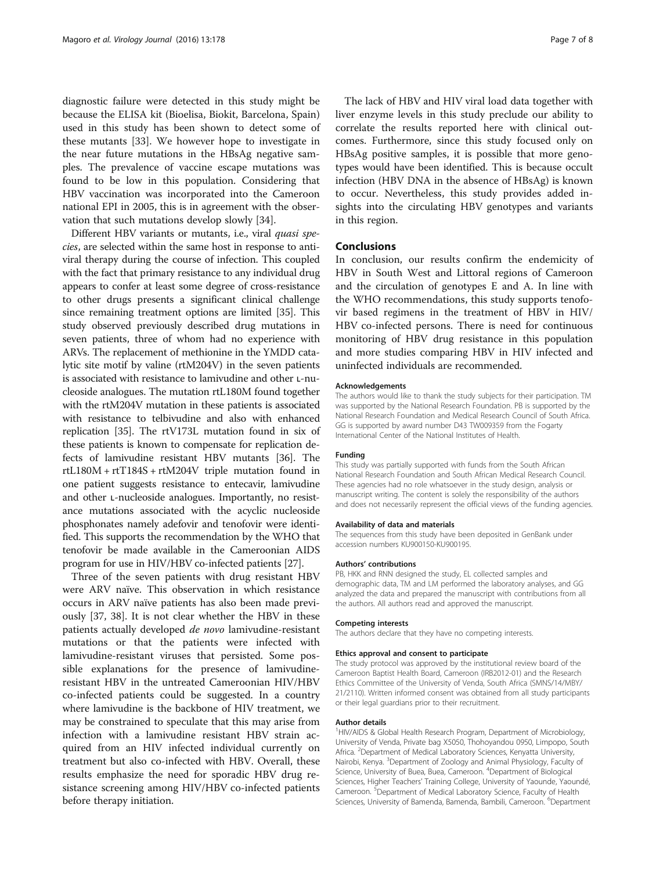diagnostic failure were detected in this study might be because the ELISA kit (Bioelisa, Biokit, Barcelona, Spain) used in this study has been shown to detect some of these mutants [[33](#page-7-0)]. We however hope to investigate in the near future mutations in the HBsAg negative samples. The prevalence of vaccine escape mutations was found to be low in this population. Considering that HBV vaccination was incorporated into the Cameroon national EPI in 2005, this is in agreement with the observation that such mutations develop slowly [[34](#page-7-0)].

Different HBV variants or mutants, i.e., viral quasi species, are selected within the same host in response to antiviral therapy during the course of infection. This coupled with the fact that primary resistance to any individual drug appears to confer at least some degree of cross-resistance to other drugs presents a significant clinical challenge since remaining treatment options are limited [[35\]](#page-7-0). This study observed previously described drug mutations in seven patients, three of whom had no experience with ARVs. The replacement of methionine in the YMDD catalytic site motif by valine (rtM204V) in the seven patients is associated with resistance to lamivudine and other L-nucleoside analogues. The mutation rtL180M found together with the rtM204V mutation in these patients is associated with resistance to telbivudine and also with enhanced replication [\[35\]](#page-7-0). The rtV173L mutation found in six of these patients is known to compensate for replication defects of lamivudine resistant HBV mutants [[36](#page-7-0)]. The rtL180M + rtT184S + rtM204V triple mutation found in one patient suggests resistance to entecavir, lamivudine and other *L*-nucleoside analogues. Importantly, no resistance mutations associated with the acyclic nucleoside phosphonates namely adefovir and tenofovir were identified. This supports the recommendation by the WHO that tenofovir be made available in the Cameroonian AIDS program for use in HIV/HBV co-infected patients [\[27\]](#page-7-0).

Three of the seven patients with drug resistant HBV were ARV naïve. This observation in which resistance occurs in ARV naïve patients has also been made previously [[37, 38](#page-7-0)]. It is not clear whether the HBV in these patients actually developed de novo lamivudine-resistant mutations or that the patients were infected with lamivudine-resistant viruses that persisted. Some possible explanations for the presence of lamivudineresistant HBV in the untreated Cameroonian HIV/HBV co-infected patients could be suggested. In a country where lamivudine is the backbone of HIV treatment, we may be constrained to speculate that this may arise from infection with a lamivudine resistant HBV strain acquired from an HIV infected individual currently on treatment but also co-infected with HBV. Overall, these results emphasize the need for sporadic HBV drug resistance screening among HIV/HBV co-infected patients before therapy initiation.

The lack of HBV and HIV viral load data together with liver enzyme levels in this study preclude our ability to correlate the results reported here with clinical outcomes. Furthermore, since this study focused only on HBsAg positive samples, it is possible that more genotypes would have been identified. This is because occult infection (HBV DNA in the absence of HBsAg) is known to occur. Nevertheless, this study provides added insights into the circulating HBV genotypes and variants in this region.

#### Conclusions

In conclusion, our results confirm the endemicity of HBV in South West and Littoral regions of Cameroon and the circulation of genotypes E and A. In line with the WHO recommendations, this study supports tenofovir based regimens in the treatment of HBV in HIV/ HBV co-infected persons. There is need for continuous monitoring of HBV drug resistance in this population and more studies comparing HBV in HIV infected and uninfected individuals are recommended.

#### Acknowledgements

The authors would like to thank the study subjects for their participation. TM was supported by the National Research Foundation. PB is supported by the National Research Foundation and Medical Research Council of South Africa. GG is supported by award number D43 TW009359 from the Fogarty International Center of the National Institutes of Health.

#### Funding

This study was partially supported with funds from the South African National Research Foundation and South African Medical Research Council. These agencies had no role whatsoever in the study design, analysis or manuscript writing. The content is solely the responsibility of the authors and does not necessarily represent the official views of the funding agencies.

#### Availability of data and materials

The sequences from this study have been deposited in GenBank under accession numbers KU900150-KU900195.

#### Authors' contributions

PB, HKK and RNN designed the study, EL collected samples and demographic data, TM and LM performed the laboratory analyses, and GG analyzed the data and prepared the manuscript with contributions from all the authors. All authors read and approved the manuscript.

#### Competing interests

The authors declare that they have no competing interests.

#### Ethics approval and consent to participate

The study protocol was approved by the institutional review board of the Cameroon Baptist Health Board, Cameroon (IRB2012-01) and the Research Ethics Committee of the University of Venda, South Africa (SMNS/14/MBY/ 21/2110). Written informed consent was obtained from all study participants or their legal guardians prior to their recruitment.

#### Author details

<sup>1</sup>HIV/AIDS & Global Health Research Program, Department of Microbiology, University of Venda, Private bag X5050, Thohoyandou 0950, Limpopo, South Africa. <sup>2</sup> Department of Medical Laboratory Sciences, Kenyatta University, Nairobi, Kenya. <sup>3</sup>Department of Zoology and Animal Physiology, Faculty of Science, University of Buea, Buea, Cameroon. <sup>4</sup>Department of Biological Sciences, Higher Teachers' Training College, University of Yaounde, Yaoundé, Cameroon.<sup>5</sup> Department of Medical Laboratory Science, Faculty of Health Sciences, University of Bamenda, Bamenda, Bambili, Cameroon. <sup>6</sup>Department